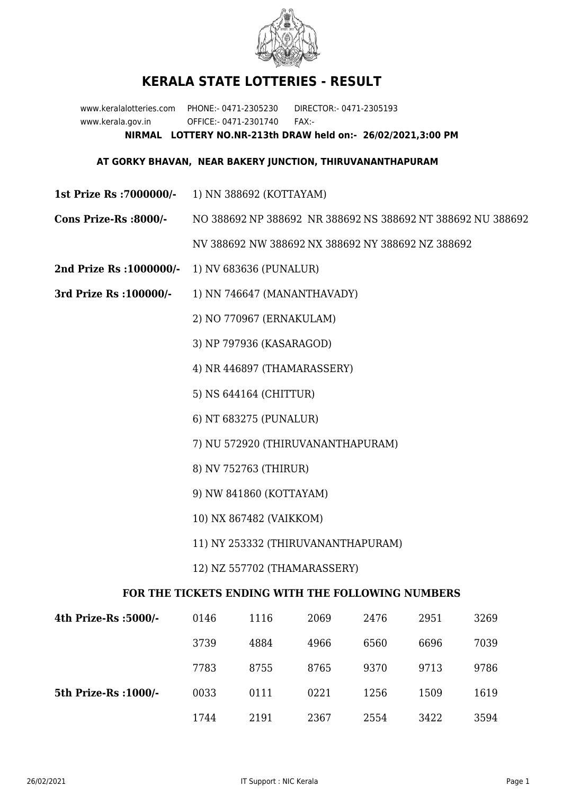

## **KERALA STATE LOTTERIES - RESULT**

www.keralalotteries.com PHONE:- 0471-2305230 DIRECTOR:- 0471-2305193 www.kerala.gov.in OFFICE:- 0471-2301740 FAX:- **NIRMAL LOTTERY NO.NR-213th DRAW held on:- 26/02/2021,3:00 PM**

## **AT GORKY BHAVAN, NEAR BAKERY JUNCTION, THIRUVANANTHAPURAM**

- **1st Prize Rs :7000000/-** 1) NN 388692 (KOTTAYAM)
- **Cons Prize-Rs :8000/-** NO 388692 NP 388692 NR 388692 NS 388692 NT 388692 NU 388692 NV 388692 NW 388692 NX 388692 NY 388692 NZ 388692
- **2nd Prize Rs :1000000/-** 1) NV 683636 (PUNALUR)
- **3rd Prize Rs :100000/-** 1) NN 746647 (MANANTHAVADY)

2) NO 770967 (ERNAKULAM)

3) NP 797936 (KASARAGOD)

4) NR 446897 (THAMARASSERY)

5) NS 644164 (CHITTUR)

6) NT 683275 (PUNALUR)

- 7) NU 572920 (THIRUVANANTHAPURAM)
- 8) NV 752763 (THIRUR)
- 9) NW 841860 (KOTTAYAM)
- 10) NX 867482 (VAIKKOM)
- 11) NY 253332 (THIRUVANANTHAPURAM)

12) NZ 557702 (THAMARASSERY)

## **FOR THE TICKETS ENDING WITH THE FOLLOWING NUMBERS**

| 4th Prize-Rs :5000/-  | 0146 | 1116 | 2069 | 2476 | 2951 | 3269 |
|-----------------------|------|------|------|------|------|------|
|                       | 3739 | 4884 | 4966 | 6560 | 6696 | 7039 |
|                       | 7783 | 8755 | 8765 | 9370 | 9713 | 9786 |
| 5th Prize-Rs : 1000/- | 0033 | 0111 | 0221 | 1256 | 1509 | 1619 |
|                       | 1744 | 2191 | 2367 | 2554 | 3422 | 3594 |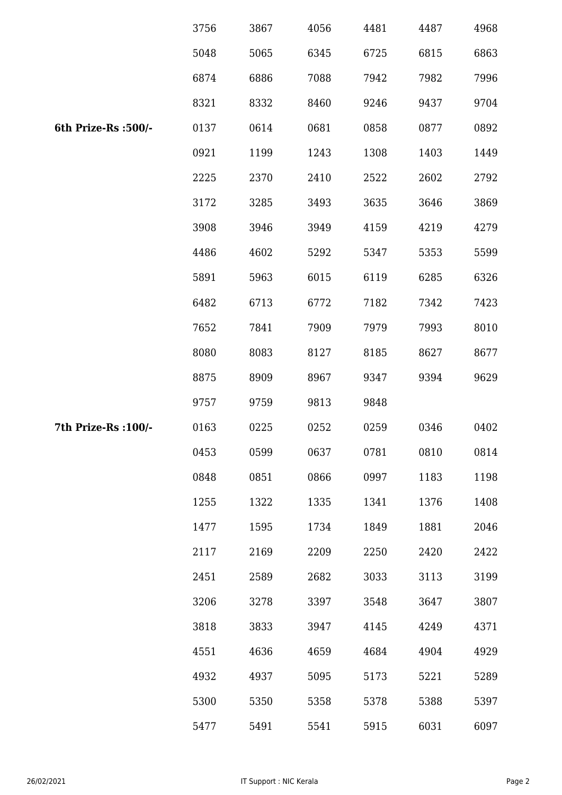|                      | 3756 | 3867 | 4056 | 4481 | 4487 | 4968 |
|----------------------|------|------|------|------|------|------|
|                      | 5048 | 5065 | 6345 | 6725 | 6815 | 6863 |
|                      | 6874 | 6886 | 7088 | 7942 | 7982 | 7996 |
|                      | 8321 | 8332 | 8460 | 9246 | 9437 | 9704 |
| 6th Prize-Rs :500/-  | 0137 | 0614 | 0681 | 0858 | 0877 | 0892 |
|                      | 0921 | 1199 | 1243 | 1308 | 1403 | 1449 |
|                      | 2225 | 2370 | 2410 | 2522 | 2602 | 2792 |
|                      | 3172 | 3285 | 3493 | 3635 | 3646 | 3869 |
|                      | 3908 | 3946 | 3949 | 4159 | 4219 | 4279 |
|                      | 4486 | 4602 | 5292 | 5347 | 5353 | 5599 |
|                      | 5891 | 5963 | 6015 | 6119 | 6285 | 6326 |
|                      | 6482 | 6713 | 6772 | 7182 | 7342 | 7423 |
|                      | 7652 | 7841 | 7909 | 7979 | 7993 | 8010 |
|                      | 8080 | 8083 | 8127 | 8185 | 8627 | 8677 |
|                      | 8875 | 8909 | 8967 | 9347 | 9394 | 9629 |
|                      | 9757 | 9759 | 9813 | 9848 |      |      |
| 7th Prize-Rs : 100/- | 0163 | 0225 | 0252 | 0259 | 0346 | 0402 |
|                      | 0453 | 0599 | 0637 | 0781 | 0810 | 0814 |
|                      | 0848 | 0851 | 0866 | 0997 | 1183 | 1198 |
|                      | 1255 | 1322 | 1335 | 1341 | 1376 | 1408 |
|                      | 1477 | 1595 | 1734 | 1849 | 1881 | 2046 |
|                      | 2117 | 2169 | 2209 | 2250 | 2420 | 2422 |
|                      | 2451 | 2589 | 2682 | 3033 | 3113 | 3199 |
|                      | 3206 | 3278 | 3397 | 3548 | 3647 | 3807 |
|                      | 3818 | 3833 | 3947 | 4145 | 4249 | 4371 |
|                      | 4551 | 4636 | 4659 | 4684 | 4904 | 4929 |
|                      | 4932 | 4937 | 5095 | 5173 | 5221 | 5289 |
|                      | 5300 | 5350 | 5358 | 5378 | 5388 | 5397 |
|                      | 5477 | 5491 | 5541 | 5915 | 6031 | 6097 |